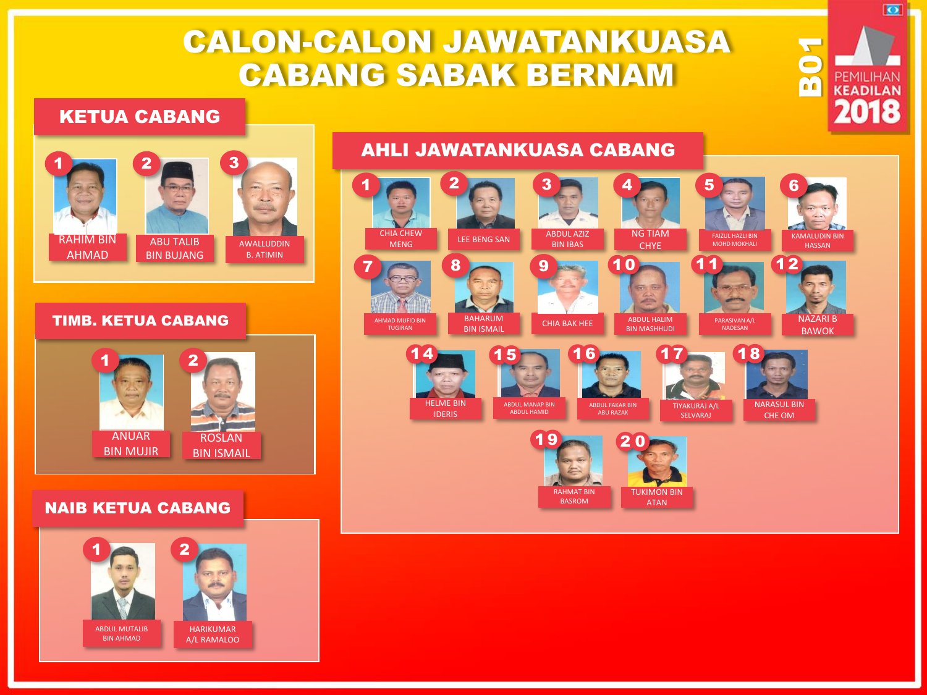# CALON-CALON JAWATANKUASA CABANG SABAK BERNAM

### KETUA CABANG



#### TIMB. KETUA CABANG



### NAIB KETUA CABANG





AHLI JAWATANKUASA CABANG

 $\overline{\bullet}$ 

**PEMILIHAN KEADILAN** 2018

**B**<br>B01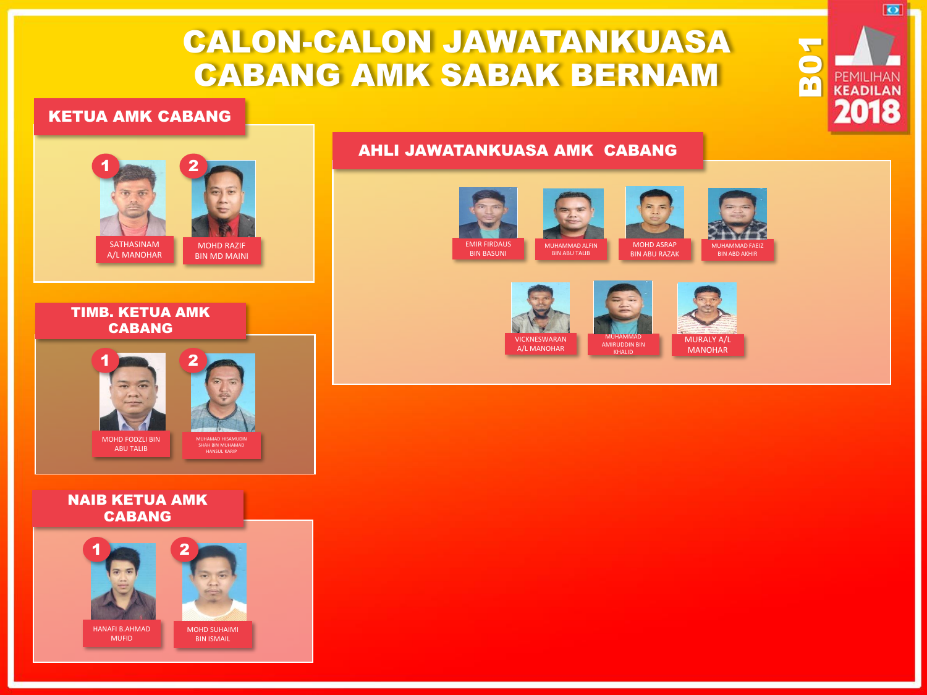# CALON-CALON JAWATANKUASA CABANG AMK SABAK BERNAM

#### KETUA AMK CABANG



TIMB. KETUA AMK CABANG





NAIB KETUA AMK CABANG





HANAFI B.AHMAD MUFID



AHLI JAWATANKUASA AMK CABANG









MUHAMMAD AMIRUDDIN BIN KHALID





PEMILIHAN KEADILAN 2018

**BO1**